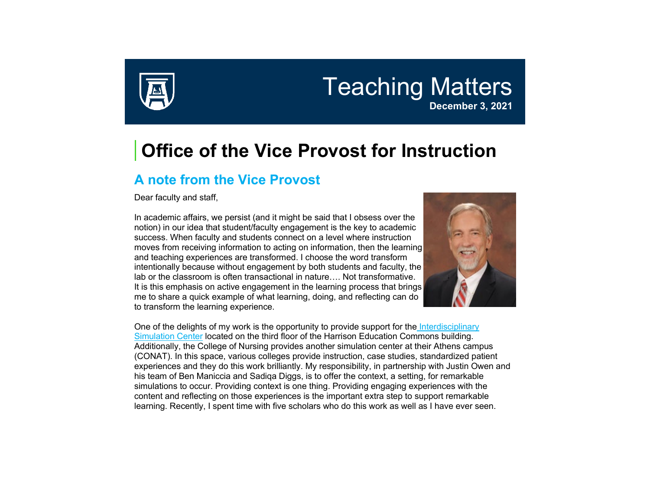

## Teaching Matters **December 3, 2021**

## **Office of the Vice Provost for Instruction**

### **A note from the Vice Provost**

Dear faculty and staff,

In academic affairs, we persist (and it might be said that I obsess over the notion) in our idea that student/faculty engagement is the key to academic success. When faculty and students connect on a level where instruction moves from receiving information to acting on information, then the learning and teaching experiences are transformed. I choose the word transform intentionally because without engagement by both students and faculty, the lab or the classroom is often transactional in nature…. Not transformative. It is this emphasis on active engagement in the learning process that brings me to share a quick example of what learning, doing, and reflecting can do to transform the learning experience.



One of the delights of my work is the opportunity to provide support for the Interdisciplinary [Simulation Center](https://auginstruction.us.newsweaver.com/1thdod2jd7/1q13lvd7xtos0clokiabax/external?a=5&p=8923498&t=127574) located on the third floor of the Harrison Education Commons building. Additionally, the College of Nursing provides another simulation center at their Athens campus (CONAT). In this space, various colleges provide instruction, case studies, standardized patient experiences and they do this work brilliantly. My responsibility, in partnership with Justin Owen and his team of Ben Maniccia and Sadiqa Diggs, is to offer the context, a setting, for remarkable simulations to occur. Providing context is one thing. Providing engaging experiences with the content and reflecting on those experiences is the important extra step to support remarkable learning. Recently, I spent time with five scholars who do this work as well as I have ever seen.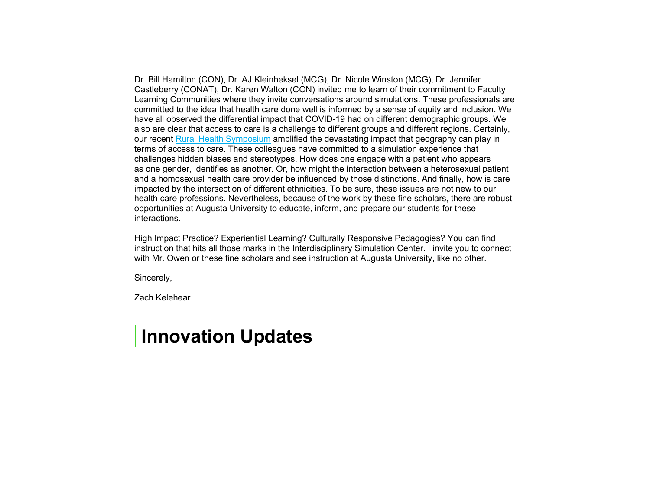Dr. Bill Hamilton (CON), Dr. AJ Kleinheksel (MCG), Dr. Nicole Winston (MCG), Dr. Jennifer Castleberry (CONAT), Dr. Karen Walton (CON) invited me to learn of their commitment to Faculty Learning Communities where they invite conversations around simulations. These professionals are committed to the idea that health care done well is informed by a sense of equity and inclusion. We have all observed the differential impact that COVID-19 had on different demographic groups. We also are clear that access to care is a challenge to different groups and different regions. Certainly, our recent [Rural Health Symposium](https://auginstruction.us.newsweaver.com/1thdod2jd7/1idb8yqytg4s0clokiabax/external?a=5&p=8923498&t=127574) amplified the devastating impact that geography can play in terms of access to care. These colleagues have committed to a simulation experience that challenges hidden biases and stereotypes. How does one engage with a patient who appears as one gender, identifies as another. Or, how might the interaction between a heterosexual patient and a homosexual health care provider be influenced by those distinctions. And finally, how is care impacted by the intersection of different ethnicities. To be sure, these issues are not new to our health care professions. Nevertheless, because of the work by these fine scholars, there are robust opportunities at Augusta University to educate, inform, and prepare our students for these interactions.

High Impact Practice? Experiential Learning? Culturally Responsive Pedagogies? You can find instruction that hits all those marks in the Interdisciplinary Simulation Center. I invite you to connect with Mr. Owen or these fine scholars and see instruction at Augusta University, like no other.

Sincerely,

Zach Kelehear

## **Innovation Updates**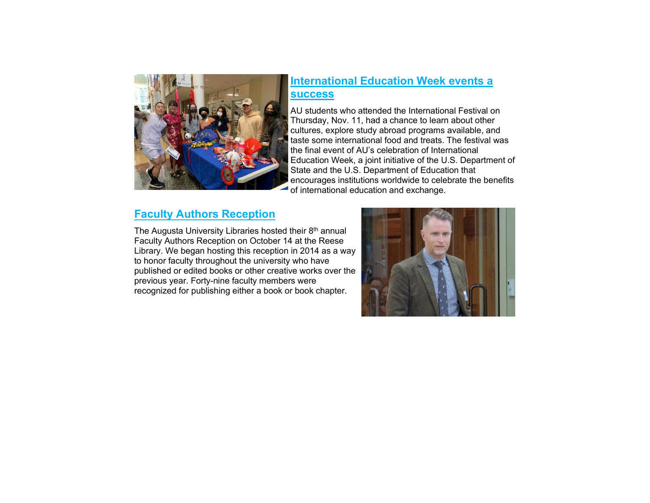

#### **[International Education Week events a](https://auginstruction.us.newsweaver.com/1thdod2jd7/5bc67xepvzes0clokiabax?lang=en&a=1&p=8923498&t=2188137)  [success](https://auginstruction.us.newsweaver.com/1thdod2jd7/5bc67xepvzes0clokiabax?lang=en&a=1&p=8923498&t=2188137)**

AU students who attended the International Festival on Thursday, Nov. 11, had a chance to learn about other cultures, explore study abroad programs available, and taste some international food and treats. The festival was the final event of AU's celebration of International Education Week, a joint initiative of the U.S. Department of State and the U.S. Department of Education that encourages institutions worldwide to celebrate the benefits of international education and exchange.

#### **[Faculty Authors Reception](https://auginstruction.us.newsweaver.com/1thdod2jd7/o442e3bquiys0clokiabax?lang=en&a=1&p=8923498&t=1546057)**

The Augusta University Libraries hosted their 8<sup>th</sup> annual Faculty Authors Reception on October 14 at the Reese Library. We began hosting this reception in 2014 as a way to honor faculty throughout the university who have published or edited books or other creative works over the previous year. Forty-nine faculty members were recognized for publishing either a book or book chapter.

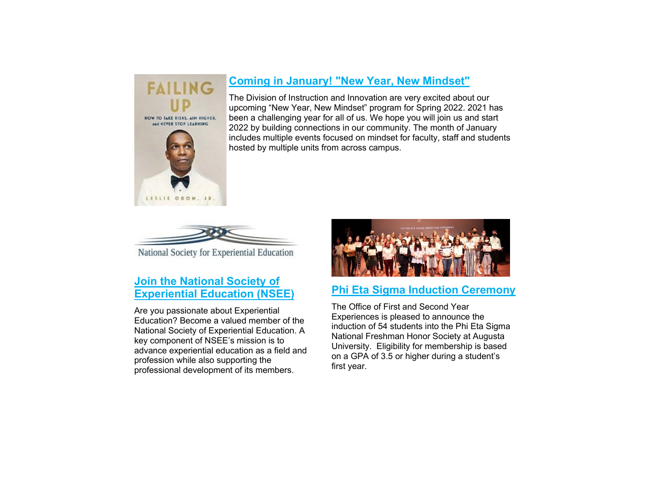

#### **[Coming in January! "New Year, New Mindset"](https://auginstruction.us.newsweaver.com/1thdod2jd7/oewzz7qo5xds0clokiabax?lang=en&a=1&p=8923498&t=2422611)**

The Division of Instruction and Innovation are very excited about our upcoming "New Year, New Mindset" program for Spring 2022. 2021 has been a challenging year for all of us. We hope you will join us and start 2022 by building connections in our community. The month of January includes multiple events focused on mindset for faculty, staff and students hosted by multiple units from across campus.



National Society for Experiential Education

#### **[Join the National Society of](https://auginstruction.us.newsweaver.com/1thdod2jd7/u5d81ntsqjps0clokiabax?lang=en&a=1&p=8923498&t=2265944)  [Experiential Education \(NSEE\)](https://auginstruction.us.newsweaver.com/1thdod2jd7/u5d81ntsqjps0clokiabax?lang=en&a=1&p=8923498&t=2265944)**

Are you passionate about Experiential Education? Become a valued member of the National Society of Experiential Education. A key component of NSEE's mission is to advance experiential education as a field and profession while also supporting the professional development of its members.



#### **[Phi Eta Sigma Induction Ceremony](https://auginstruction.us.newsweaver.com/1thdod2jd7/aaws2l9vu91s0clokiabax?lang=en&a=1&p=8923498&t=2265944)**

The Office of First and Second Year Experiences is pleased to announce the induction of 54 students into the Phi Eta Sigma National Freshman Honor Society at Augusta University. Eligibility for membership is based on a GPA of 3.5 or higher during a student's first year.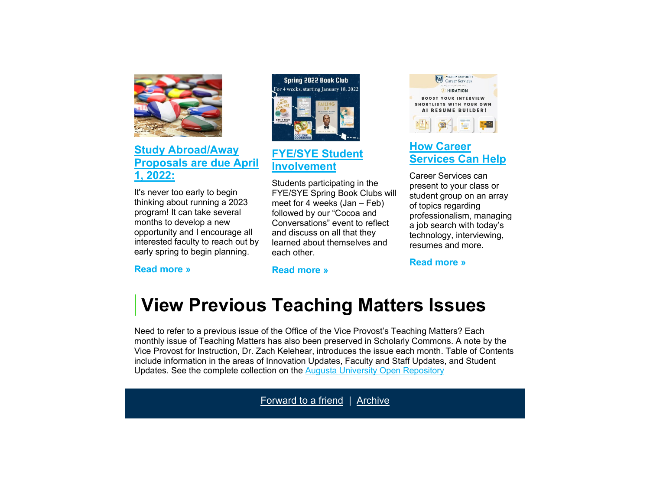

#### **[Study Abroad/Away](https://auginstruction.us.newsweaver.com/1thdod2jd7/rxs3ml5ddgfs0clokiabax?lang=en&a=1&p=8923498&t=2260944)  [Proposals are due April](https://auginstruction.us.newsweaver.com/1thdod2jd7/rxs3ml5ddgfs0clokiabax?lang=en&a=1&p=8923498&t=2260944)  [1, 2022:](https://auginstruction.us.newsweaver.com/1thdod2jd7/rxs3ml5ddgfs0clokiabax?lang=en&a=1&p=8923498&t=2260944)**

It's never too early to begin thinking about running a 2023 program! It can take several months to develop a new opportunity and I encourage all interested faculty to reach out by early spring to begin planning.

**[Read more »](https://auginstruction.us.newsweaver.com/1thdod2jd7/rxs3ml5ddgfs0clokiabax?lang=en&a=2&p=8923498&t=2260944)**



#### **[FYE/SYE Student](https://auginstruction.us.newsweaver.com/1thdod2jd7/11k4jid96nps0clokiabax?lang=en&a=1&p=8923498&t=2260944)  [Involvement](https://auginstruction.us.newsweaver.com/1thdod2jd7/11k4jid96nps0clokiabax?lang=en&a=1&p=8923498&t=2260944)**

Students participating in the FYE/SYE Spring Book Clubs will meet for 4 weeks (Jan – Feb) followed by our "Cocoa and Conversations" event to reflect and discuss on all that they learned about themselves and each other.



#### **[How Career](https://auginstruction.us.newsweaver.com/1thdod2jd7/1gh7ej8378is0clokiabax?lang=en&a=1&p=8923498&t=2260944)  [Services Can Help](https://auginstruction.us.newsweaver.com/1thdod2jd7/1gh7ej8378is0clokiabax?lang=en&a=1&p=8923498&t=2260944)**

Career Services can present to your class or student group on an array of topics regarding professionalism, managing a job search with today's technology, interviewing, resumes and more.

**[Read more »](https://auginstruction.us.newsweaver.com/1thdod2jd7/1gh7ej8378is0clokiabax?lang=en&a=2&p=8923498&t=2260944)**

## **View Previous Teaching Matters Issues**

**[Read more »](https://auginstruction.us.newsweaver.com/1thdod2jd7/11k4jid96nps0clokiabax?lang=en&a=2&p=8923498&t=2260944)**

Need to refer to a previous issue of the Office of the Vice Provost's Teaching Matters? Each monthly issue of Teaching Matters has also been preserved in Scholarly Commons. A note by the Vice Provost for Instruction, Dr. Zach Kelehear, introduces the issue each month. Table of Contents include information in the areas of Innovation Updates, Faculty and Staff Updates, and Student Updates. See the complete collection on the [Augusta University Open Repository](https://auginstruction.us.newsweaver.com/1thdod2jd7/12l2d4ioqqgs0clokiabax/external?a=5&p=8923498&t=1476977)

[Forward to a friend](https://auginstruction.us.newsweaver.com/1thdod2jd7/1i8vv64cq6hs0clokiabax?lang=en&a=6&p=8923498&t=127598) | [Archive](https://auginstruction.us.newsweaver.com/1thdod2jd7/11r5wkiibg0s0clokiabax/external?a=6&p=8923498&t=127598)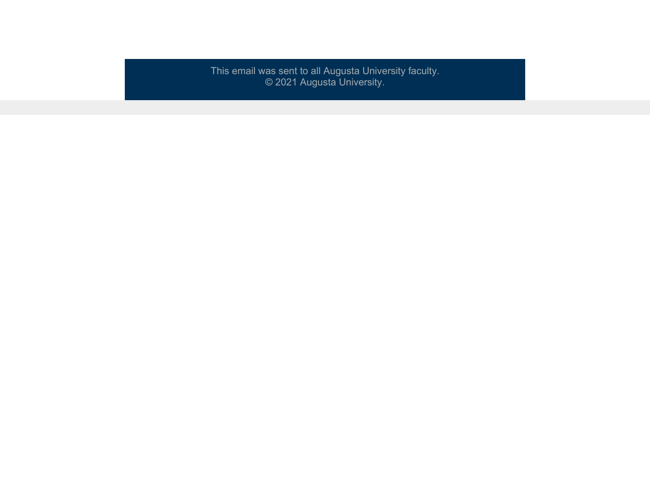This email was sent to all Augusta University faculty. © 2021 Augusta University.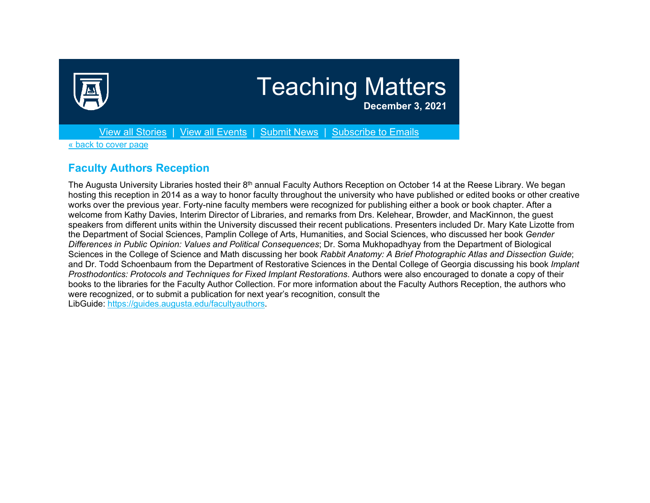

# Teaching Matters

**December 3, 2021**

[View all Stories](https://auginstruction.us.newsweaver.com/1thdod2jd7/1vjb13b4pzks0clokiabax/external?a=6&p=8923771&t=127589) | [View all Events](https://auginstruction.us.newsweaver.com/1thdod2jd7/asv608xaoyws0clokiabax/external?a=6&p=8923771&t=127589) | [Submit News](https://auginstruction.us.newsweaver.com/1thdod2jd7/1m5j6050ic8s0clokiabax/external?a=6&p=8923771&t=127589) | [Subscribe to Emails](https://auginstruction.us.newsweaver.com/1thdod2jd7/1dyuipyf8dss0clokiabax?lang=en&a=6&p=8923771&t=127589)

[« back to cover page](https://auginstruction.us.newsweaver.com/1thdod2jd7/1ejebc3vmugs0clokiabax?lang=en&a=6&p=8923771&t=127563)

#### **Faculty Authors Reception**

The Augusta University Libraries hosted their 8<sup>th</sup> annual Faculty Authors Reception on October 14 at the Reese Library. We began hosting this reception in 2014 as a way to honor faculty throughout the university who have published or edited books or other creative works over the previous year. Forty-nine faculty members were recognized for publishing either a book or book chapter. After a welcome from Kathy Davies, Interim Director of Libraries, and remarks from Drs. Kelehear, Browder, and MacKinnon, the guest speakers from different units within the University discussed their recent publications. Presenters included Dr. Mary Kate Lizotte from the Department of Social Sciences, Pamplin College of Arts, Humanities, and Social Sciences, who discussed her book *Gender Differences in Public Opinion: Values and Political Consequences*; Dr. Soma Mukhopadhyay from the Department of Biological Sciences in the College of Science and Math discussing her book *Rabbit Anatomy: A Brief Photographic Atlas and Dissection Guide*; and Dr. Todd Schoenbaum from the Department of Restorative Sciences in the Dental College of Georgia discussing his book *Implant Prosthodontics: Protocols and Techniques for Fixed Implant Restorations*. Authors were also encouraged to donate a copy of their books to the libraries for the Faculty Author Collection. For more information about the Faculty Authors Reception, the authors who were recognized, or to submit a publication for next year's recognition, consult the LibGuide: [https://guides.augusta.edu/facultyauthors.](https://auginstruction.us.newsweaver.com/1thdod2jd7/cclzvnq6u02s0clokiabax/external?a=6&p=8923771&t=127564)